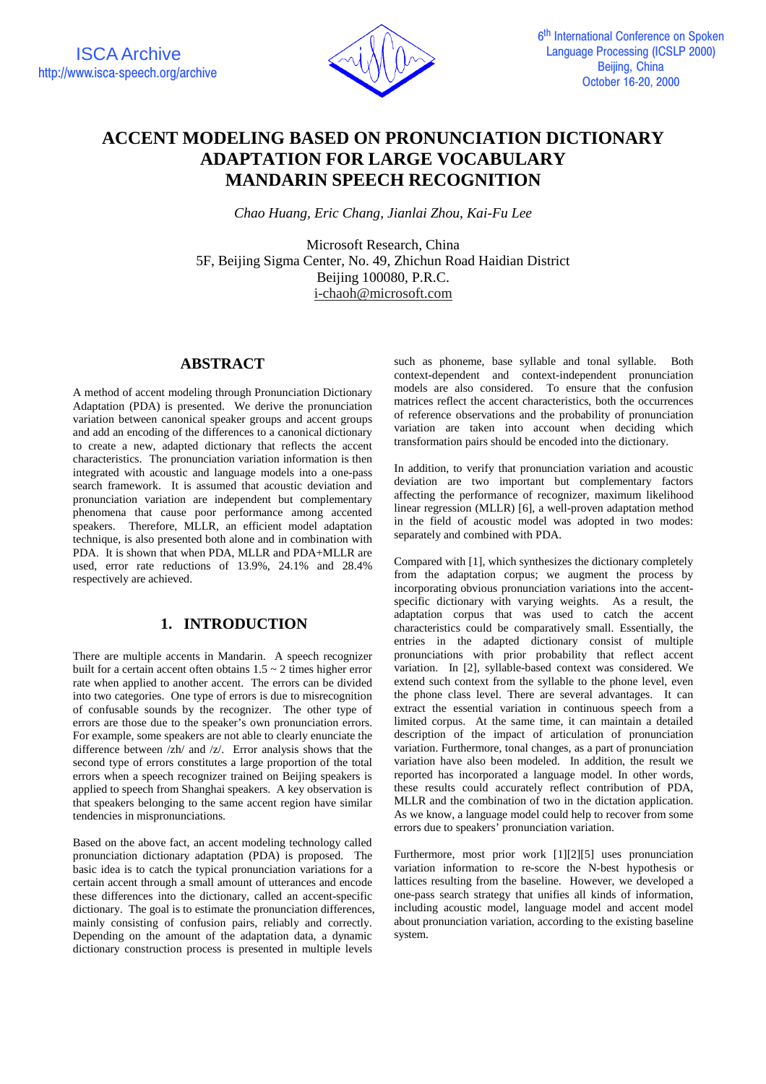

# **ACCENT MODELING BASED ON PRONUNCIATION DICTIONARY ADAPTATION FOR LARGE VOCABULARY MANDARIN SPEECH RECOGNITION**

*Chao Huang, Eric Chang, Jianlai Zhou, Kai-Fu Lee*

Microsoft Research, China 5F, Beijing Sigma Center, No. 49, Zhichun Road Haidian District Beijing 100080, P.R.C. i-chaoh@microsoft.com

## **ABSTRACT**

A method of accent modeling through Pronunciation Dictionary Adaptation (PDA) is presented. We derive the pronunciation variation between canonical speaker groups and accent groups and add an encoding of the differences to a canonical dictionary to create a new, adapted dictionary that reflects the accent characteristics. The pronunciation variation information is then integrated with acoustic and language models into a one-pass search framework. It is assumed that acoustic deviation and pronunciation variation are independent but complementary phenomena that cause poor performance among accented speakers. Therefore, MLLR, an efficient model adaptation technique, is also presented both alone and in combination with PDA. It is shown that when PDA, MLLR and PDA+MLLR are used, error rate reductions of 13.9%, 24.1% and 28.4% respectively are achieved.

# **1. INTRODUCTION**

There are multiple accents in Mandarin. A speech recognizer built for a certain accent often obtains  $1.5 \sim 2$  times higher error rate when applied to another accent. The errors can be divided into two categories. One type of errors is due to misrecognition of confusable sounds by the recognizer. The other type of errors are those due to the speaker's own pronunciation errors. For example, some speakers are not able to clearly enunciate the difference between /zh/ and /z/. Error analysis shows that the second type of errors constitutes a large proportion of the total errors when a speech recognizer trained on Beijing speakers is applied to speech from Shanghai speakers. A key observation is that speakers belonging to the same accent region have similar tendencies in mispronunciations.

Based on the above fact, an accent modeling technology called pronunciation dictionary adaptation (PDA) is proposed. The basic idea is to catch the typical pronunciation variations for a certain accent through a small amount of utterances and encode these differences into the dictionary, called an accent-specific dictionary. The goal is to estimate the pronunciation differences, mainly consisting of confusion pairs, reliably and correctly. Depending on the amount of the adaptation data, a dynamic dictionary construction process is presented in multiple levels

such as phoneme, base syllable and tonal syllable. Both context-dependent and context-independent pronunciation models are also considered. To ensure that the confusion matrices reflect the accent characteristics, both the occurrences of reference observations and the probability of pronunciation variation are taken into account when deciding which transformation pairs should be encoded into the dictionary.

In addition, to verify that pronunciation variation and acoustic deviation are two important but complementary factors affecting the performance of recognizer, maximum likelihood linear regression (MLLR) [6], a well-proven adaptation method in the field of acoustic model was adopted in two modes: separately and combined with PDA.

Compared with [1], which synthesizes the dictionary completely from the adaptation corpus; we augment the process by incorporating obvious pronunciation variations into the accentspecific dictionary with varying weights. As a result, the adaptation corpus that was used to catch the accent characteristics could be comparatively small. Essentially, the entries in the adapted dictionary consist of multiple pronunciations with prior probability that reflect accent variation. In [2], syllable-based context was considered. We extend such context from the syllable to the phone level, even the phone class level. There are several advantages. It can extract the essential variation in continuous speech from a limited corpus. At the same time, it can maintain a detailed description of the impact of articulation of pronunciation variation. Furthermore, tonal changes, as a part of pronunciation variation have also been modeled. In addition, the result we reported has incorporated a language model. In other words, these results could accurately reflect contribution of PDA, MLLR and the combination of two in the dictation application. As we know, a language model could help to recover from some errors due to speakers' pronunciation variation.

Furthermore, most prior work [1][2][5] uses pronunciation variation information to re-score the N-best hypothesis or lattices resulting from the baseline. However, we developed a one-pass search strategy that unifies all kinds of information, including acoustic model, language model and accent model about pronunciation variation, according to the existing baseline system.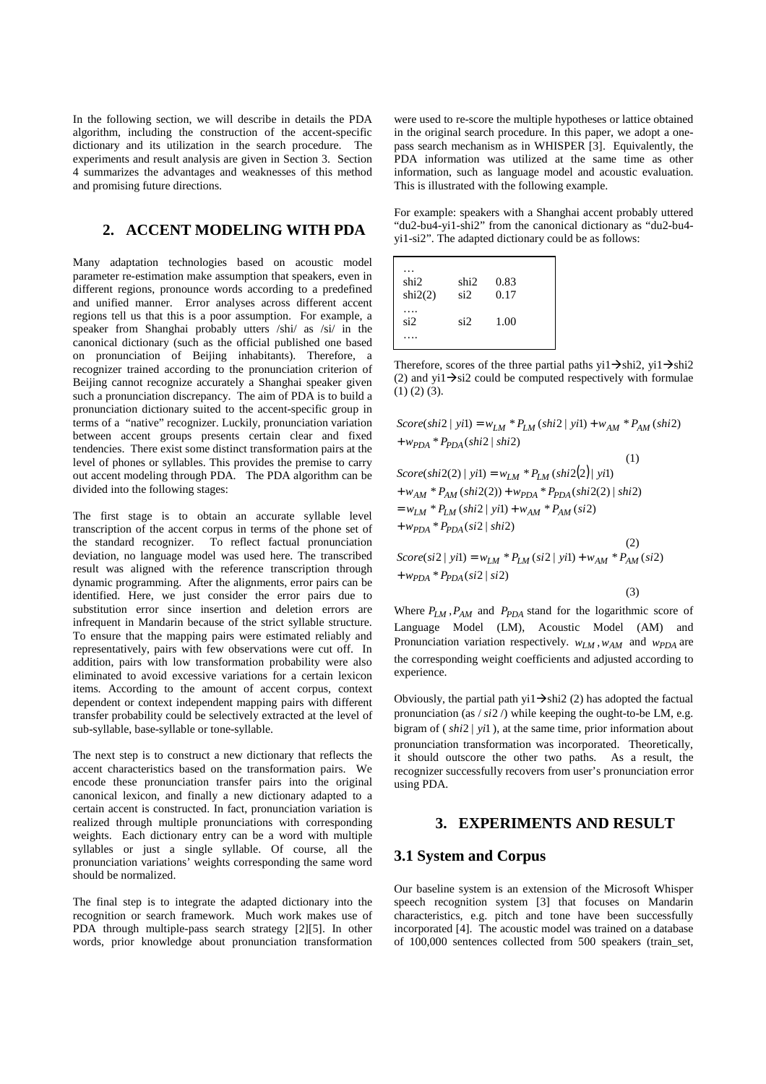In the following section, we will describe in details the PDA algorithm, including the construction of the accent-specific dictionary and its utilization in the search procedure. The experiments and result analysis are given in Section 3. Section 4 summarizes the advantages and weaknesses of this method and promising future directions.

### **2. ACCENT MODELING WITH PDA**

Many adaptation technologies based on acoustic model parameter re-estimation make assumption that speakers, even in different regions, pronounce words according to a predefined and unified manner. Error analyses across different accent regions tell us that this is a poor assumption. For example, a speaker from Shanghai probably utters /shi/ as /si/ in the canonical dictionary (such as the official published one based on pronunciation of Beijing inhabitants). Therefore, a recognizer trained according to the pronunciation criterion of Beijing cannot recognize accurately a Shanghai speaker given such a pronunciation discrepancy. The aim of PDA is to build a pronunciation dictionary suited to the accent-specific group in terms of a "native" recognizer. Luckily, pronunciation variation between accent groups presents certain clear and fixed tendencies. There exist some distinct transformation pairs at the level of phones or syllables. This provides the premise to carry out accent modeling through PDA. The PDA algorithm can be divided into the following stages:

The first stage is to obtain an accurate syllable level transcription of the accent corpus in terms of the phone set of the standard recognizer. To reflect factual pronunciation deviation, no language model was used here. The transcribed result was aligned with the reference transcription through dynamic programming. After the alignments, error pairs can be identified. Here, we just consider the error pairs due to substitution error since insertion and deletion errors are infrequent in Mandarin because of the strict syllable structure. To ensure that the mapping pairs were estimated reliably and representatively, pairs with few observations were cut off. In addition, pairs with low transformation probability were also eliminated to avoid excessive variations for a certain lexicon items. According to the amount of accent corpus, context dependent or context independent mapping pairs with different transfer probability could be selectively extracted at the level of sub-syllable, base-syllable or tone-syllable.

The next step is to construct a new dictionary that reflects the accent characteristics based on the transformation pairs. We encode these pronunciation transfer pairs into the original canonical lexicon, and finally a new dictionary adapted to a certain accent is constructed. In fact, pronunciation variation is realized through multiple pronunciations with corresponding weights. Each dictionary entry can be a word with multiple syllables or just a single syllable. Of course, all the pronunciation variations' weights corresponding the same word should be normalized.

The final step is to integrate the adapted dictionary into the recognition or search framework. Much work makes use of PDA through multiple-pass search strategy [2][5]. In other words, prior knowledge about pronunciation transformation were used to re-score the multiple hypotheses or lattice obtained in the original search procedure. In this paper, we adopt a onepass search mechanism as in WHISPER [3]. Equivalently, the PDA information was utilized at the same time as other information, such as language model and acoustic evaluation. This is illustrated with the following example.

For example: speakers with a Shanghai accent probably uttered "du2-bu4-yi1-shi2" from the canonical dictionary as "du2-bu4 yi1-si2". The adapted dictionary could be as follows:

| shi2<br>$\sin 2(2)$ | shi2<br>si <sub>2</sub> | 0.83<br>0.17 |  |
|---------------------|-------------------------|--------------|--|
| si2                 | si2                     | 1.00         |  |
|                     |                         |              |  |

Therefore, scores of the three partial paths yi1 $\rightarrow$ shi2, yi1 $\rightarrow$ shi2 (2) and yi1 $\rightarrow$ si2 could be computed respectively with formulae  $(1)$   $(2)$   $(3)$ .

 $+w_{PDA} * P_{PDA}(shi2 \mid shi2)$  $Score(shi2 | yil) = w_{LM} * P_{LM}(shi2 | yi1) + w_{AM} * P_{AM}(shi2)$ 

 $(1)$ 

(3)

$$
Score(shi2(2) | yil) = w_{LM} * P_{LM}(shi2(2) | yil)
$$
  
+  $w_{AM} * P_{AM}(shi2(2)) + w_{PDA} * P_{PDA}(shi2(2) | shi2)$   
=  $w_{LM} * P_{LM}(shi2 | yil) + w_{AM} * P_{AM}(si2)$   
+  $w_{PDA} * P_{PDA}(si2 | shi2)$   

$$
Score(sl2 | yil) = w_{LM} * P_{LM}(si2 | yil) + w_{AM} * P_{AM}(si2)
$$
  
+  $w_{PDA} * P_{PDA}(si2 | si2)$ 

Where  $P_{LM}$ ,  $P_{AM}$  and  $P_{PDA}$  stand for the logarithmic score of Language Model (LM), Acoustic Model (AM) and Pronunciation variation respectively.  $w_{LM}$ ,  $w_{AM}$  and  $w_{PDA}$  are the corresponding weight coefficients and adjusted according to experience.

Obviously, the partial path yi1 $\rightarrow$ shi2 (2) has adopted the factual pronunciation (as  $/si2$  /) while keeping the ought-to-be LM, e.g. bigram of ( *shi*2 | *yi*1 ), at the same time, prior information about pronunciation transformation was incorporated. Theoretically, it should outscore the other two paths. As a result, the recognizer successfully recovers from user's pronunciation error using PDA.

# **3. EXPERIMENTS AND RESULT**

### **3.1 System and Corpus**

Our baseline system is an extension of the Microsoft Whisper speech recognition system [3] that focuses on Mandarin characteristics, e.g. pitch and tone have been successfully incorporated [4]. The acoustic model was trained on a database of 100,000 sentences collected from 500 speakers (train\_set,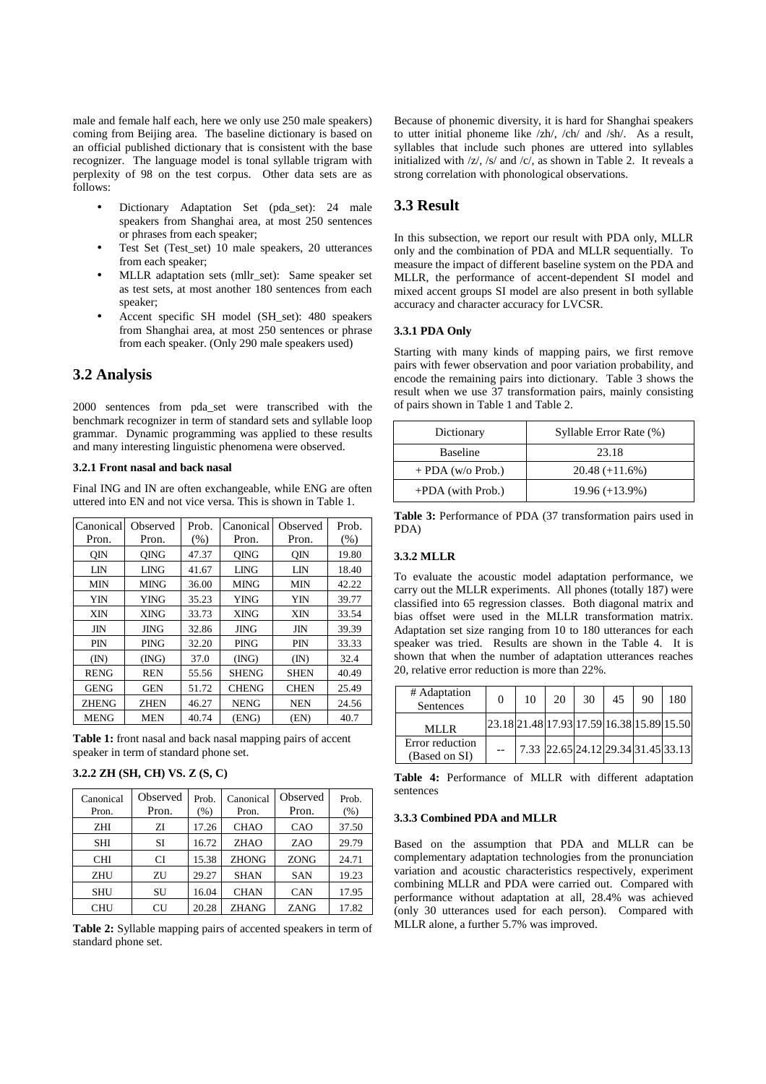male and female half each, here we only use 250 male speakers) coming from Beijing area. The baseline dictionary is based on an official published dictionary that is consistent with the base recognizer. The language model is tonal syllable trigram with perplexity of 98 on the test corpus. Other data sets are as follows:

- Dictionary Adaptation Set (pda\_set): 24 male speakers from Shanghai area, at most 250 sentences or phrases from each speaker;
- Test Set (Test\_set) 10 male speakers, 20 utterances from each speaker;
- MLLR adaptation sets (mllr\_set): Same speaker set as test sets, at most another 180 sentences from each speaker;
- Accent specific SH model (SH\_set): 480 speakers from Shanghai area, at most 250 sentences or phrase from each speaker. (Only 290 male speakers used)

# **3.2 Analysis**

2000 sentences from pda\_set were transcribed with the benchmark recognizer in term of standard sets and syllable loop grammar. Dynamic programming was applied to these results and many interesting linguistic phenomena were observed.

#### **3.2.1 Front nasal and back nasal**

Final ING and IN are often exchangeable, while ENG are often uttered into EN and not vice versa. This is shown in Table 1.

| Canonical    | Observed    | Prob. | Canonical    | Observed       | Prob. |
|--------------|-------------|-------|--------------|----------------|-------|
| Pron.        | Pron.       | (% )  | Pron.        | Pron.          | (% )  |
| <b>OIN</b>   | <b>OING</b> | 47.37 | <b>OING</b>  | <b>OIN</b>     | 19.80 |
| LIN          | <b>LING</b> | 41.67 | <b>LING</b>  | LIN            | 18.40 |
| <b>MIN</b>   | <b>MING</b> | 36.00 | <b>MING</b>  | MIN            | 42.22 |
| YIN          | <b>YING</b> | 35.23 | <b>YING</b>  | YIN            | 39.77 |
| <b>XIN</b>   | <b>XING</b> | 33.73 | <b>XING</b>  | XIN            | 33.54 |
| JIN          | <b>JING</b> | 32.86 | <b>JING</b>  | JIN            | 39.39 |
| <b>PIN</b>   | <b>PING</b> | 32.20 | <b>PING</b>  | <b>PIN</b>     | 33.33 |
| (IN)         | (ING)       | 37.0  | (ING)        | $(\mathbb{N})$ | 32.4  |
| <b>RENG</b>  | <b>REN</b>  | 55.56 | <b>SHENG</b> | <b>SHEN</b>    | 40.49 |
| <b>GENG</b>  | <b>GEN</b>  | 51.72 | <b>CHENG</b> | <b>CHEN</b>    | 25.49 |
| <b>ZHENG</b> | <b>ZHEN</b> | 46.27 | <b>NENG</b>  | <b>NEN</b>     | 24.56 |
| <b>MENG</b>  | <b>MEN</b>  | 40.74 | (ENG)        | (EN)           | 40.7  |

**Table 1:** front nasal and back nasal mapping pairs of accent speaker in term of standard phone set.

#### **3.2.2 ZH (SH, CH) VS. Z (S, C)**

| Canonical<br>Pron. | Observed<br>Pron. | Prob.<br>$(\%)$ | Canonical<br>Pron. | Observed<br>Pron. | Prob.<br>(% ) |
|--------------------|-------------------|-----------------|--------------------|-------------------|---------------|
| <b>ZHI</b>         | ZI                | 17.26           | <b>CHAO</b>        | CAO               | 37.50         |
| <b>SHI</b>         | SI                | 16.72           | <b>ZHAO</b>        | ZAO               | 29.79         |
| <b>CHI</b>         | CI                | 15.38           | <b>ZHONG</b>       | <b>ZONG</b>       | 24.71         |
| <b>ZHU</b>         | ZU                | 29.27           | <b>SHAN</b>        | <b>SAN</b>        | 19.23         |
| <b>SHU</b>         | SU                | 16.04           | <b>CHAN</b>        | <b>CAN</b>        | 17.95         |
| <b>CHU</b>         | CU                | 20.28           | <b>ZHANG</b>       | ZANG              | 17.82         |

**Table 2:** Syllable mapping pairs of accented speakers in term of standard phone set.

Because of phonemic diversity, it is hard for Shanghai speakers to utter initial phoneme like /zh/, /ch/ and /sh/. As a result, syllables that include such phones are uttered into syllables initialized with /z/, /s/ and /c/, as shown in Table 2. It reveals a strong correlation with phonological observations.

## **3.3 Result**

In this subsection, we report our result with PDA only, MLLR only and the combination of PDA and MLLR sequentially. To measure the impact of different baseline system on the PDA and MLLR, the performance of accent-dependent SI model and mixed accent groups SI model are also present in both syllable accuracy and character accuracy for LVCSR.

#### **3.3.1 PDA Only**

Starting with many kinds of mapping pairs, we first remove pairs with fewer observation and poor variation probability, and encode the remaining pairs into dictionary. Table 3 shows the result when we use 37 transformation pairs, mainly consisting of pairs shown in Table 1 and Table 2.

| Dictionary          | Syllable Error Rate (%) |
|---------------------|-------------------------|
| <b>Baseline</b>     | 23.18                   |
| $+$ PDA (w/o Prob.) | $20.48 (+11.6%)$        |
| $+PDA$ (with Prob.) | $19.96 (+13.9%)$        |

**Table 3:** Performance of PDA (37 transformation pairs used in PDA)

#### **3.3.2 MLLR**

To evaluate the acoustic model adaptation performance, we carry out the MLLR experiments. All phones (totally 187) were classified into 65 regression classes. Both diagonal matrix and bias offset were used in the MLLR transformation matrix. Adaptation set size ranging from 10 to 180 utterances for each speaker was tried. Results are shown in the Table 4. It is shown that when the number of adaptation utterances reaches 20, relative error reduction is more than 22%.

| # Adaptation<br>Sentences        | $\theta$                                  | 10 | 20 | 30 | 45 | 90                                 | 180 |
|----------------------------------|-------------------------------------------|----|----|----|----|------------------------------------|-----|
| MLLR                             | 23.18 21.48 17.93 17.59 16.38 15.89 15.50 |    |    |    |    |                                    |     |
| Error reduction<br>(Based on SI) |                                           |    |    |    |    | 7.33 22.65 24.12 29.34 31.45 33.13 |     |

**Table 4:** Performance of MLLR with different adaptation sentences

#### **3.3.3 Combined PDA and MLLR**

Based on the assumption that PDA and MLLR can be complementary adaptation technologies from the pronunciation variation and acoustic characteristics respectively, experiment combining MLLR and PDA were carried out. Compared with performance without adaptation at all, 28.4% was achieved (only 30 utterances used for each person). Compared with MLLR alone, a further 5.7% was improved.